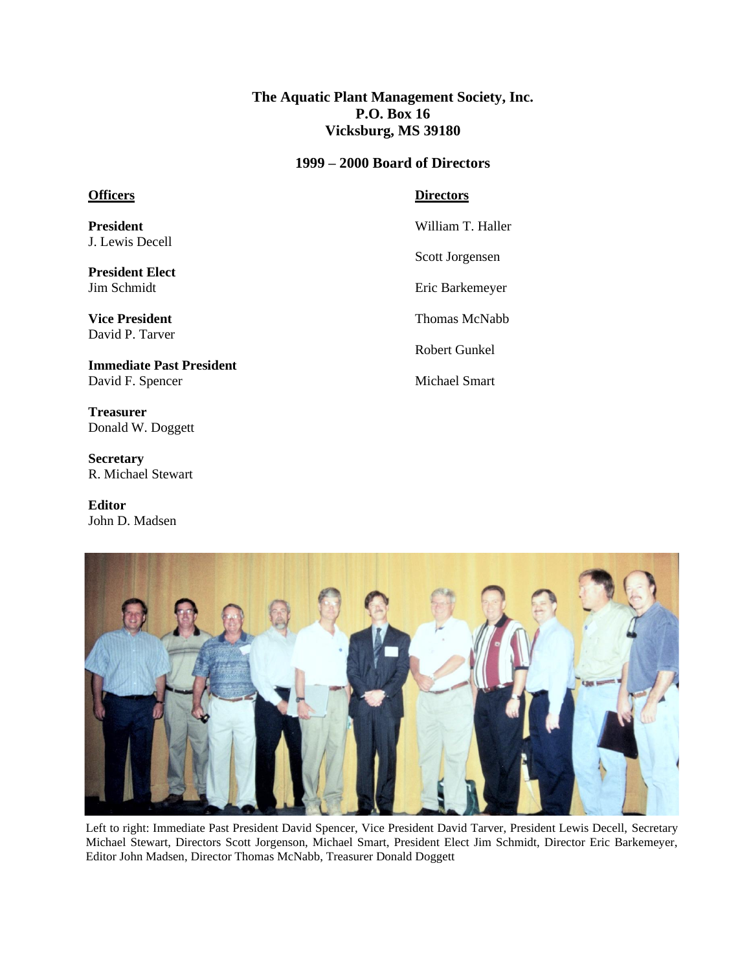**The Aquatic Plant Management Society, Inc. P.O. Box 16 Vicksburg, MS 39180**

## **1999 – 2000 Board of Directors**

## **Officers**

**Directors**

**President** J. Lewis Decell

**President Elect** Jim Schmidt

**Vice President** David P. Tarver

**Immediate Past President** David F. Spencer

**Treasurer** Donald W. Doggett

**Secretary** R. Michael Stewart

**Editor** John D. Madsen

William T. Haller Scott Jorgensen Eric Barkemeyer Thomas McNabb Robert Gunkel Michael Smart



Left to right: Immediate Past President David Spencer, Vice President David Tarver, President Lewis Decell, Secretary Michael Stewart, Directors Scott Jorgenson, Michael Smart, President Elect Jim Schmidt, Director Eric Barkemeyer, Editor John Madsen, Director Thomas McNabb, Treasurer Donald Doggett